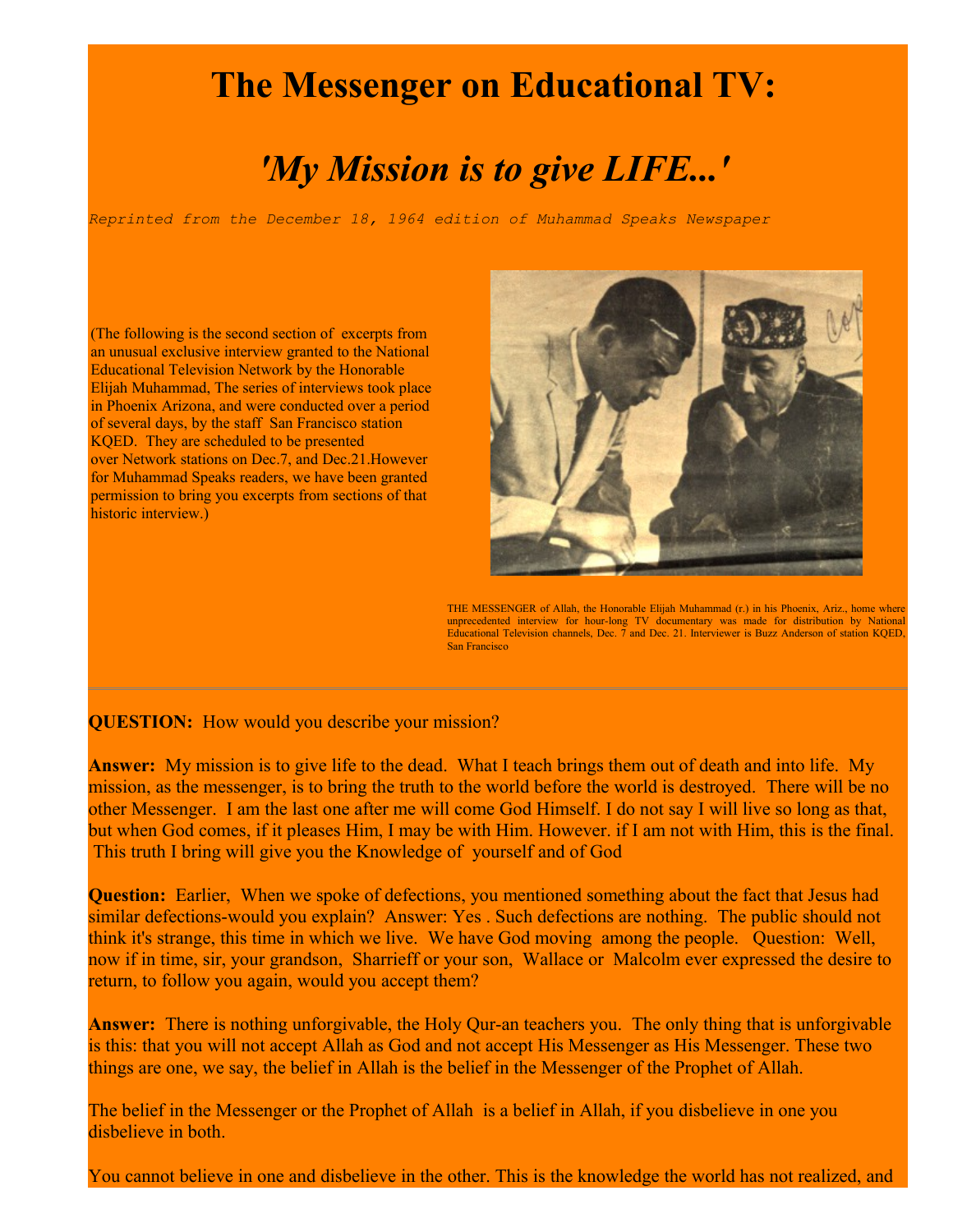## **The Messenger on Educational TV:**

## *'My Mission is to give LIFE...'*

*Reprinted from the December 18, 1964 edition of Muhammad Speaks Newspaper*

(The following is the second section of excerpts from an unusual exclusive interview granted to the National Educational Television Network by the Honorable Elijah Muhammad, The series of interviews took place in Phoenix Arizona, and were conducted over a period of several days, by the staff San Francisco station KQED. They are scheduled to be presented over Network stations on Dec.7, and Dec.21.However for Muhammad Speaks readers, we have been granted permission to bring you excerpts from sections of that historic interview.)



THE MESSENGER of Allah, the Honorable Elijah Muhammad (r.) in his Phoenix, Ariz., home where unprecedented interview for hour-long TV documentary was made for distribution by National Educational Television channels, Dec. 7 and Dec. 21. Interviewer is Buzz Anderson of station KQED, San Francisco

**QUESTION:** How would you describe your mission?

**Answer:** My mission is to give life to the dead. What I teach brings them out of death and into life. My mission, as the messenger, is to bring the truth to the world before the world is destroyed. There will be no other Messenger. I am the last one after me will come God Himself. I do not say I will live so long as that, but when God comes, if it pleases Him, I may be with Him. However. if I am not with Him, this is the final. This truth I bring will give you the Knowledge of yourself and of God

**Question:** Earlier, When we spoke of defections, you mentioned something about the fact that Jesus had similar defections-would you explain? Answer: Yes . Such defections are nothing. The public should not think it's strange, this time in which we live. We have God moving among the people. Question: Well, now if in time, sir, your grandson, Sharrieff or your son, Wallace or Malcolm ever expressed the desire to return, to follow you again, would you accept them?

**Answer:** There is nothing unforgivable, the Holy Qur-an teachers you. The only thing that is unforgivable is this: that you will not accept Allah as God and not accept His Messenger as His Messenger. These two things are one, we say, the belief in Allah is the belief in the Messenger of the Prophet of Allah.

The belief in the Messenger or the Prophet of Allah is a belief in Allah, if you disbelieve in one you disbelieve in both.

You cannot believe in one and disbelieve in the other. This is the knowledge the world has not realized, and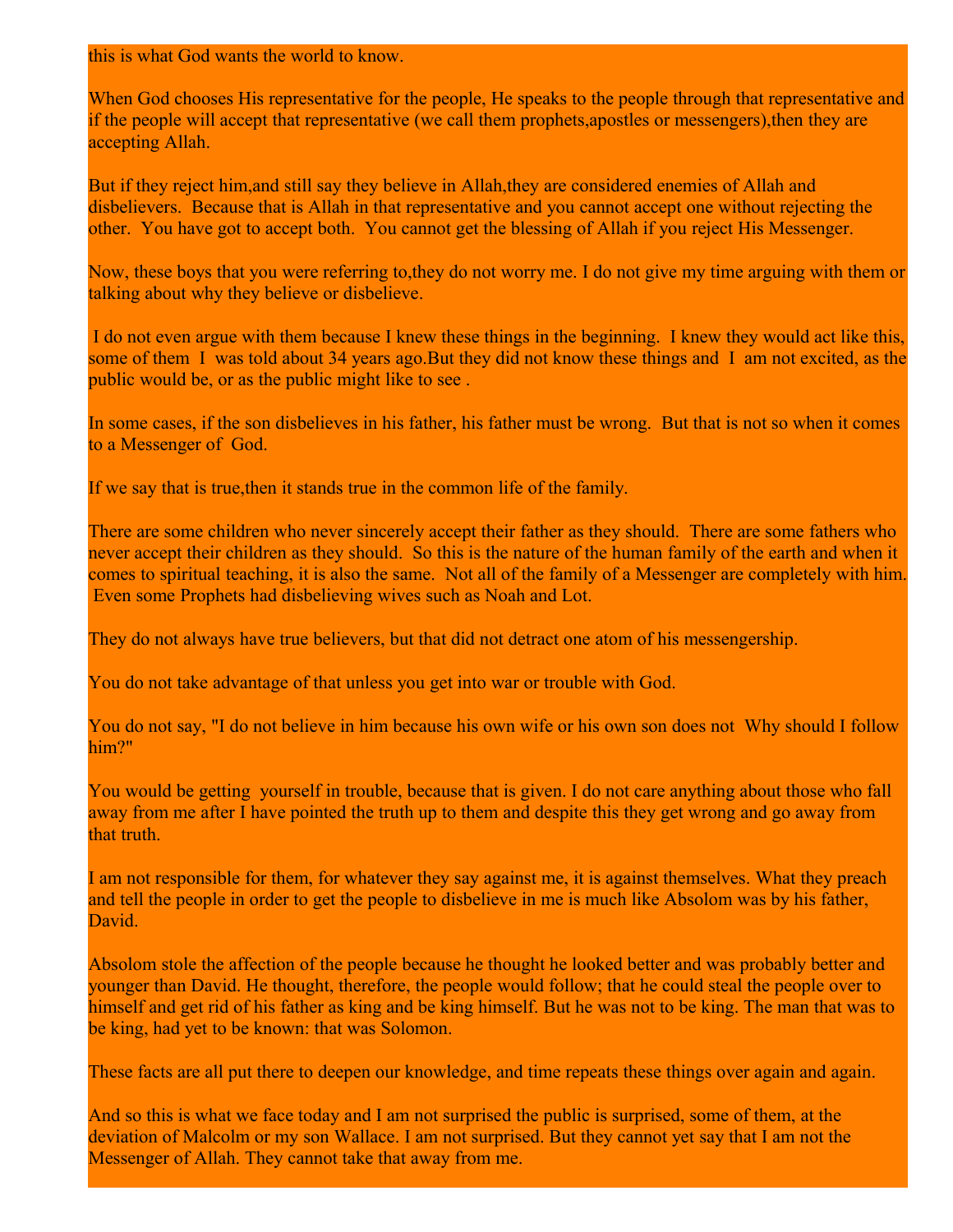this is what God wants the world to know.

When God chooses His representative for the people, He speaks to the people through that representative and if the people will accept that representative (we call them prophets,apostles or messengers),then they are accepting Allah.

But if they reject him,and still say they believe in Allah,they are considered enemies of Allah and disbelievers. Because that is Allah in that representative and you cannot accept one without rejecting the other. You have got to accept both. You cannot get the blessing of Allah if you reject His Messenger.

Now, these boys that you were referring to,they do not worry me. I do not give my time arguing with them or talking about why they believe or disbelieve.

I do not even argue with them because I knew these things in the beginning. I knew they would act like this, some of them I was told about 34 years ago. But they did not know these things and I am not excited, as the public would be, or as the public might like to see .

In some cases, if the son disbelieves in his father, his father must be wrong. But that is not so when it comes to a Messenger of God.

If we say that is true,then it stands true in the common life of the family.

There are some children who never sincerely accept their father as they should. There are some fathers who never accept their children as they should. So this is the nature of the human family of the earth and when it comes to spiritual teaching, it is also the same. Not all of the family of a Messenger are completely with him. Even some Prophets had disbelieving wives such as Noah and Lot.

They do not always have true believers, but that did not detract one atom of his messengership.

You do not take advantage of that unless you get into war or trouble with God.

You do not say, "I do not believe in him because his own wife or his own son does not Why should I follow him?"

You would be getting yourself in trouble, because that is given. I do not care anything about those who fall away from me after I have pointed the truth up to them and despite this they get wrong and go away from that truth.

I am not responsible for them, for whatever they say against me, it is against themselves. What they preach and tell the people in order to get the people to disbelieve in me is much like Absolom was by his father, **David** 

Absolom stole the affection of the people because he thought he looked better and was probably better and younger than David. He thought, therefore, the people would follow; that he could steal the people over to himself and get rid of his father as king and be king himself. But he was not to be king. The man that was to be king, had yet to be known: that was Solomon.

These facts are all put there to deepen our knowledge, and time repeats these things over again and again.

And so this is what we face today and I am not surprised the public is surprised, some of them, at the deviation of Malcolm or my son Wallace. I am not surprised. But they cannot yet say that I am not the Messenger of Allah. They cannot take that away from me.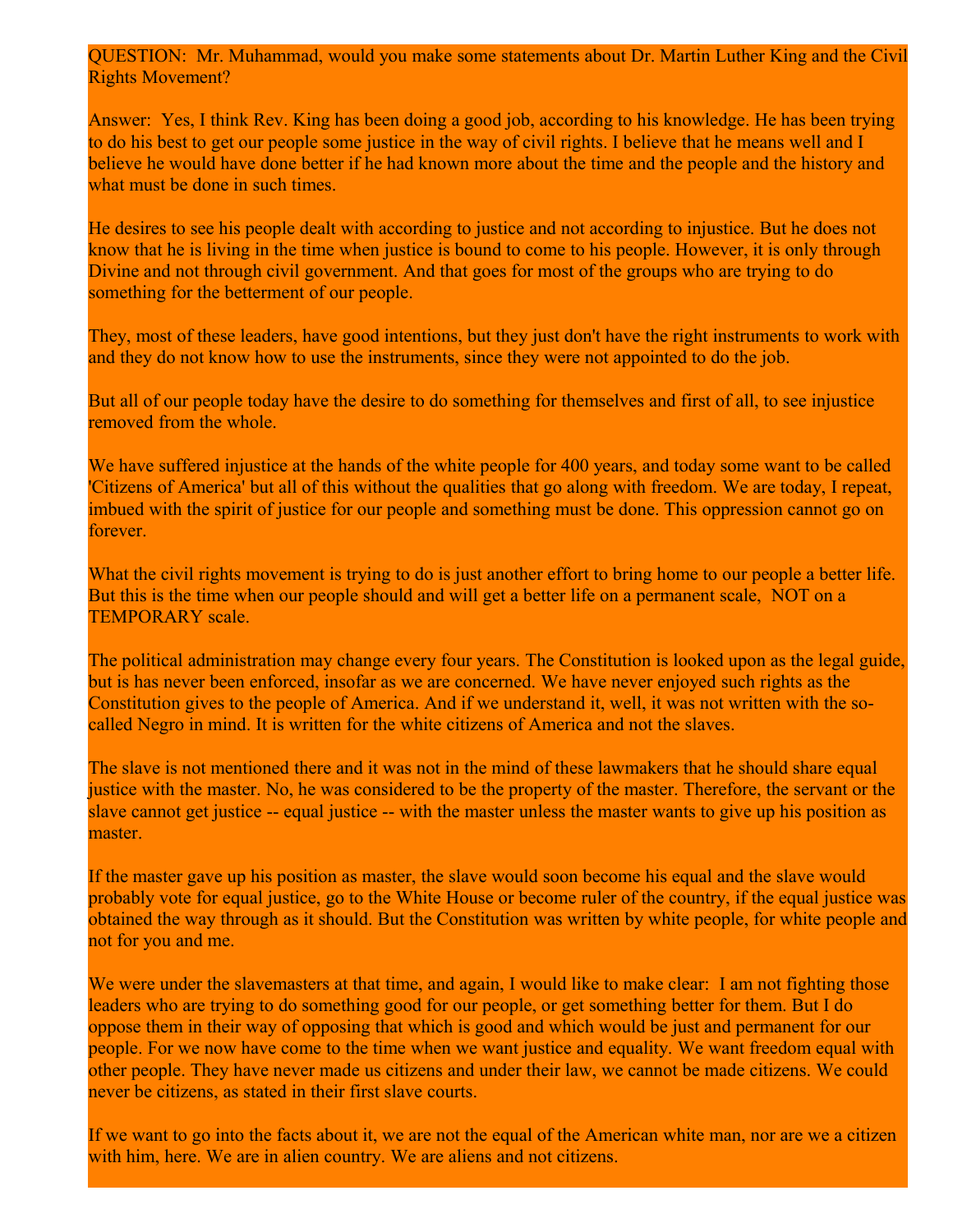QUESTION: Mr. Muhammad, would you make some statements about Dr. Martin Luther King and the Civil Rights Movement?

Answer: Yes, I think Rev. King has been doing a good job, according to his knowledge. He has been trying to do his best to get our people some justice in the way of civil rights. I believe that he means well and I believe he would have done better if he had known more about the time and the people and the history and what must be done in such times.

He desires to see his people dealt with according to justice and not according to injustice. But he does not know that he is living in the time when justice is bound to come to his people. However, it is only through Divine and not through civil government. And that goes for most of the groups who are trying to do something for the betterment of our people.

They, most of these leaders, have good intentions, but they just don't have the right instruments to work with and they do not know how to use the instruments, since they were not appointed to do the job.

But all of our people today have the desire to do something for themselves and first of all, to see injustice removed from the whole.

We have suffered injustice at the hands of the white people for 400 years, and today some want to be called 'Citizens of America' but all of this without the qualities that go along with freedom. We are today, I repeat, imbued with the spirit of justice for our people and something must be done. This oppression cannot go on **forever** 

What the civil rights movement is trying to do is just another effort to bring home to our people a better life. But this is the time when our people should and will get a better life on a permanent scale, NOT on a TEMPORARY scale.

The political administration may change every four years. The Constitution is looked upon as the legal guide, but is has never been enforced, insofar as we are concerned. We have never enjoyed such rights as the Constitution gives to the people of America. And if we understand it, well, it was not written with the socalled Negro in mind. It is written for the white citizens of America and not the slaves.

The slave is not mentioned there and it was not in the mind of these lawmakers that he should share equal justice with the master. No, he was considered to be the property of the master. Therefore, the servant or the slave cannot get justice -- equal justice -- with the master unless the master wants to give up his position as master.

If the master gave up his position as master, the slave would soon become his equal and the slave would probably vote for equal justice, go to the White House or become ruler of the country, if the equal justice was obtained the way through as it should. But the Constitution was written by white people, for white people and not for you and me.

We were under the slavemasters at that time, and again, I would like to make clear: I am not fighting those leaders who are trying to do something good for our people, or get something better for them. But I do oppose them in their way of opposing that which is good and which would be just and permanent for our people. For we now have come to the time when we want justice and equality. We want freedom equal with other people. They have never made us citizens and under their law, we cannot be made citizens. We could never be citizens, as stated in their first slave courts.

If we want to go into the facts about it, we are not the equal of the American white man, nor are we a citizen with him, here. We are in alien country. We are aliens and not citizens.